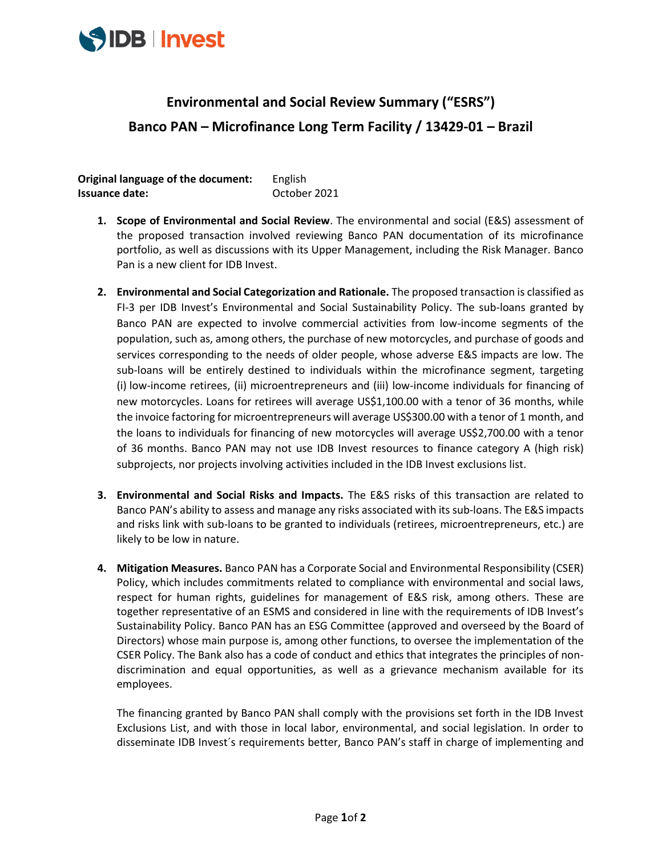

## **Environmental and Social Review Summary ("ESRS") Banco PAN – Microfinance Long Term Facility / 13429-01 – Brazil**

**Original language of the document:** English **Issuance date:** October 2021

- **1. Scope of Environmental and Social Review**. The environmental and social (E&S) assessment of the proposed transaction involved reviewing Banco PAN documentation of its microfinance portfolio, as well as discussions with its Upper Management, including the Risk Manager. Banco Pan is a new client for IDB Invest.
- **2. Environmental and Social Categorization and Rationale.** The proposed transaction is classified as FI-3 per IDB Invest's Environmental and Social Sustainability Policy. The sub-loans granted by Banco PAN are expected to involve commercial activities from low-income segments of the population, such as, among others, the purchase of new motorcycles, and purchase of goods and services corresponding to the needs of older people, whose adverse E&S impacts are low. The sub-loans will be entirely destined to individuals within the microfinance segment, targeting (i) low-income retirees, (ii) microentrepreneurs and (iii) low-income individuals for financing of new motorcycles. Loans for retirees will average US\$1,100.00 with a tenor of 36 months, while the invoice factoring for microentrepreneurs will average US\$300.00 with a tenor of 1 month, and the loans to individuals for financing of new motorcycles will average US\$2,700.00 with a tenor of 36 months. Banco PAN may not use IDB Invest resources to finance category A (high risk) subprojects, nor projects involving activities included in the IDB Invest exclusions list.
- **3. Environmental and Social Risks and Impacts.** The E&S risks of this transaction are related to Banco PAN's ability to assess and manage any risks associated with its sub-loans. The E&S impacts and risks link with sub-loans to be granted to individuals (retirees, microentrepreneurs, etc.) are likely to be low in nature.
- **4. Mitigation Measures.** Banco PAN has a Corporate Social and Environmental Responsibility (CSER) Policy, which includes commitments related to compliance with environmental and social laws, respect for human rights, guidelines for management of E&S risk, among others. These are together representative of an ESMS and considered in line with the requirements of IDB Invest's Sustainability Policy. Banco PAN has an ESG Committee (approved and overseed by the Board of Directors) whose main purpose is, among other functions, to oversee the implementation of the CSER Policy. The Bank also has a code of conduct and ethics that integrates the principles of nondiscrimination and equal opportunities, as well as a grievance mechanism available for its employees.

The financing granted by Banco PAN shall comply with the provisions set forth in the IDB Invest Exclusions List, and with those in local labor, environmental, and social legislation. In order to disseminate IDB Invest´s requirements better, Banco PAN's staff in charge of implementing and